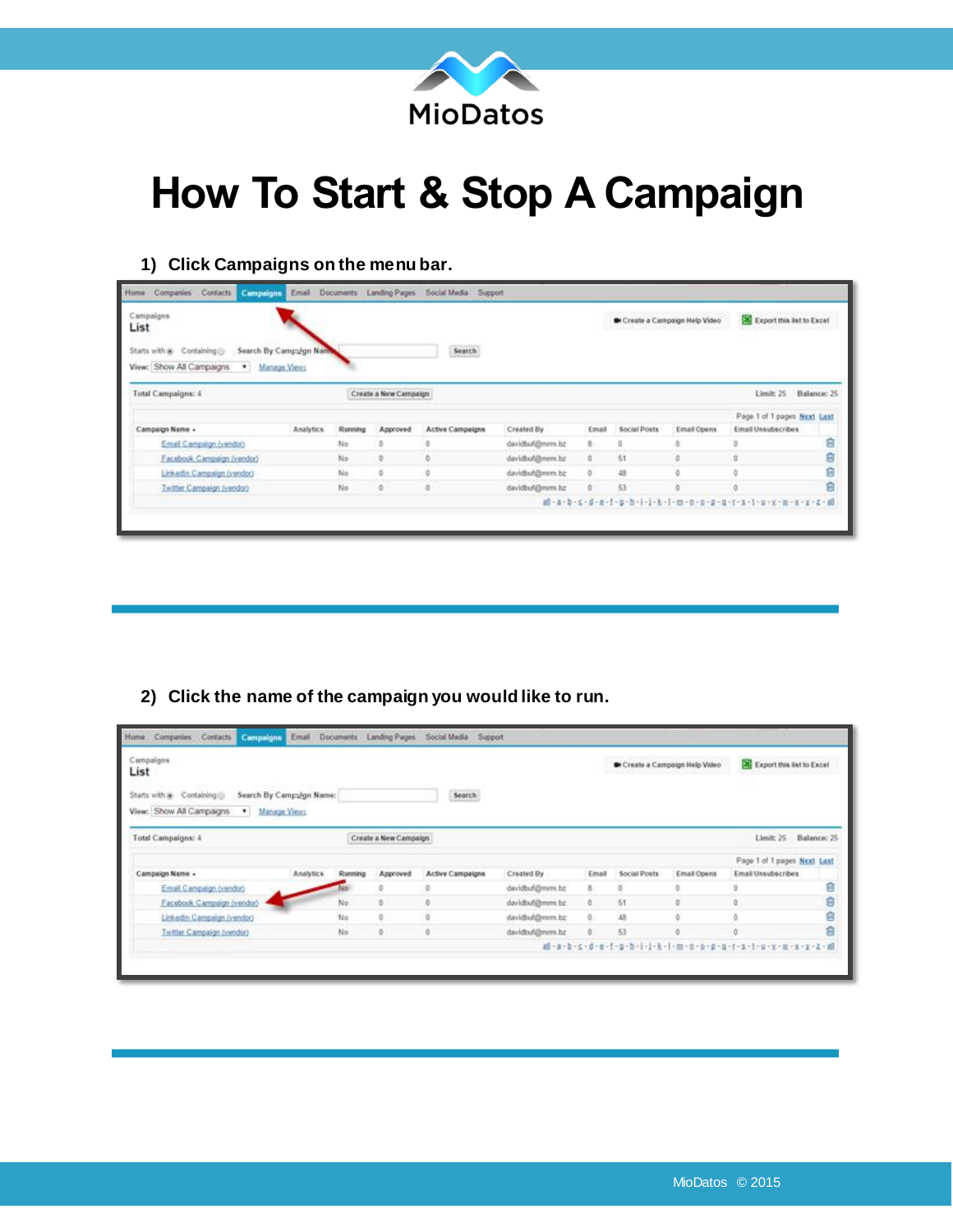

## **How To Start & Stop A Campaign**

## **1) Click Campaigns on the menu bar.**

| Campaigns<br>List                                          |                                               |         |                       |                         |                |       |              | <b>B</b> Create a Campaign Help Video | Export this list to Excel   |        |
|------------------------------------------------------------|-----------------------------------------------|---------|-----------------------|-------------------------|----------------|-------|--------------|---------------------------------------|-----------------------------|--------|
| Starts with a Containing<br>View: Show All Campaigns<br>×. | Search By Campulgn Nam<br><b>Manage Views</b> |         |                       | Search                  |                |       |              |                                       |                             |        |
| Total Campaigns: 4                                         |                                               |         | Create a New Campaign |                         |                |       |              |                                       | Limit: 25 Balance: 25       |        |
|                                                            |                                               |         |                       |                         |                |       |              |                                       | Page 1 of 1 pages Next Last |        |
|                                                            |                                               | Running | Approved              | <b>Active Campaigns</b> | Created By     | Email | Social Posts | Email Opens                           | Email Unsubscribes          |        |
|                                                            | Analytics                                     |         |                       |                         |                |       |              |                                       |                             |        |
| Campaign Name -<br>Email Campaign (vendor)                 |                                               | No      | o                     | a                       | davidtuf@mm.bz | 8.    | O.           | ö.                                    |                             | ġ      |
| Facebook Campaign (vendor)                                 |                                               | No      | ö.                    | ö.                      | davidtuf@mm.bz | o.    | 51           | α                                     | <b>D</b>                    | ŝ      |
| Linkedin Campaign (vendor)                                 |                                               | No      | ÷                     | ö                       | davidbuf@mm.bz | 0     | 48           |                                       |                             | ė<br>ġ |

**2) Click the name of the campaign you would like to run.** 

| Campaigns<br>List                                                      |                           |         |                       |                         |                |       |              | <b>B</b> Create a Campaign Help Video | Export this list to Excel   |       |
|------------------------------------------------------------------------|---------------------------|---------|-----------------------|-------------------------|----------------|-------|--------------|---------------------------------------|-----------------------------|-------|
| Starts with a Containing<br>View: Show All Campaigns<br>* Manage Views | Search By Camp Lign Name: |         |                       | Search                  |                |       |              |                                       |                             |       |
| Total Campaigns: 4                                                     |                           |         | Create a New Campaign |                         |                |       |              |                                       | Limit: 25 Balance: 25       |       |
|                                                                        |                           |         |                       |                         |                |       |              |                                       | Page 1 of 1 pages Next Last |       |
| Campaign Name -                                                        | Analytics                 | Running | Approved              | <b>Active Campaigns</b> | Created By     | Email | Social Posts | Email Opens                           | Email Unsubscribes          |       |
|                                                                        |                           |         |                       |                         | davidtuf@mm.bz | 8.    | ű            | ä                                     |                             | ġ     |
| Email Campaign (vendor)                                                |                           | No      | ö                     |                         | davidtuf@mm.bz | 0.    | \$1          |                                       |                             | 00 GD |
| Facebook Campaign (vendor)                                             |                           |         |                       |                         |                |       | 48           |                                       |                             |       |
| Linkedin Campaign (vendor)                                             |                           | No      | ٠                     |                         | davidbul@mm.bz | 0     |              |                                       |                             | ġ     |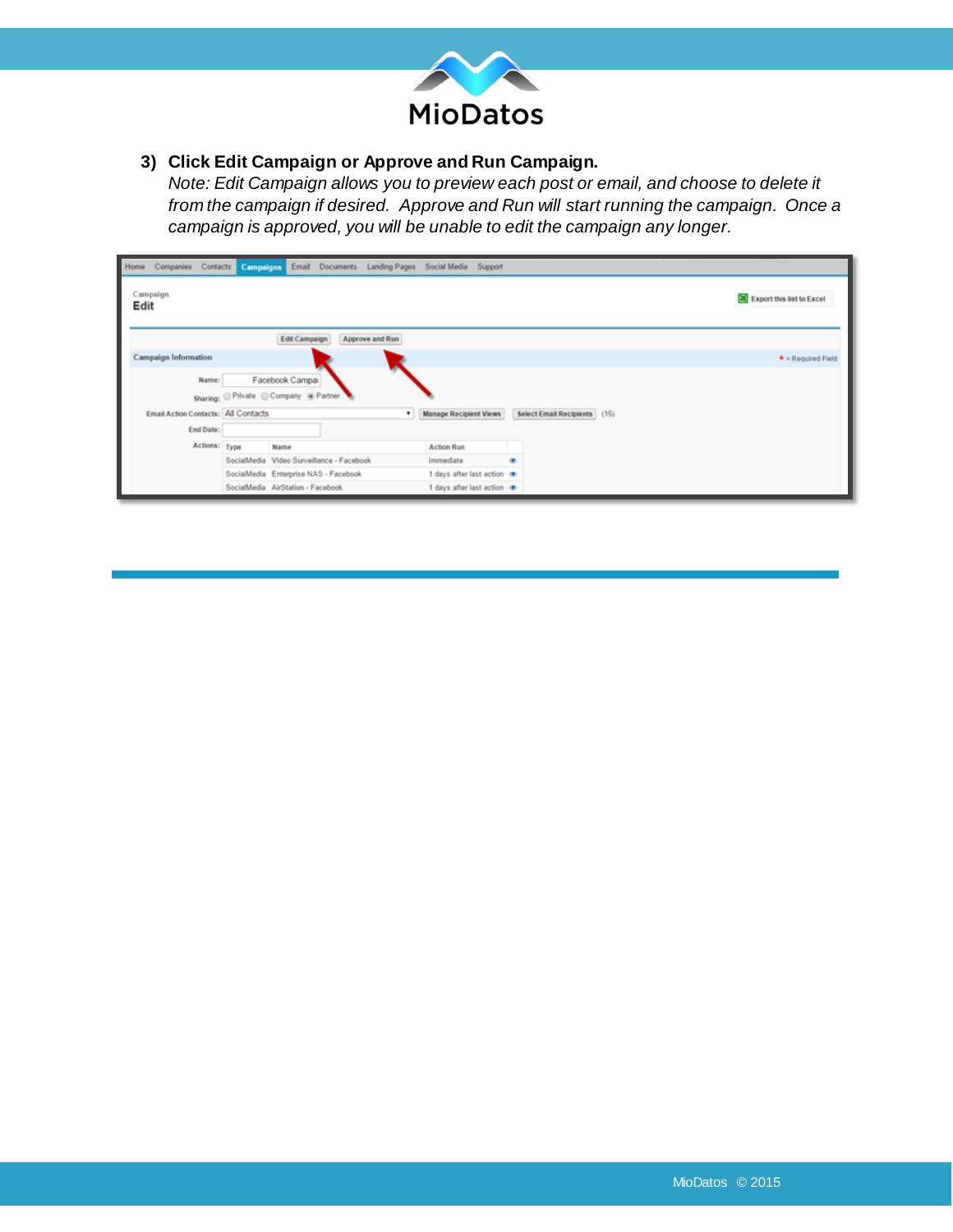

**3) Click Edit Campaign or Approve and Run Campaign.** 

*Note: Edit Campaign allows you to preview each post or email, and choose to delete it from the campaign if desired. Approve and Run will start running the campaign. Once a campaign is approved, you will be unable to edit the campaign any longer.*

|      |                                     |               |                                           |                      | Home Companies Contacts Compaigns Email Documents Landing Pages Social Media Support |                               |   |                              |  |                           |
|------|-------------------------------------|---------------|-------------------------------------------|----------------------|--------------------------------------------------------------------------------------|-------------------------------|---|------------------------------|--|---------------------------|
| Edit | Campaign                            |               |                                           |                      |                                                                                      |                               |   |                              |  | Export this list to Excel |
|      |                                     |               |                                           | <b>Edit Campaign</b> | Approve and Run                                                                      |                               |   |                              |  |                           |
|      | <b>Campaign Information</b>         |               |                                           |                      |                                                                                      |                               |   |                              |  | $\star$ = Required Field  |
|      |                                     | Name:         |                                           | Facebook Campai      |                                                                                      |                               |   |                              |  |                           |
|      |                                     |               | Sharing: Private Company @ Partner        |                      |                                                                                      |                               |   |                              |  |                           |
|      | Email Action Contacts: All Contacts |               |                                           |                      | $\bullet$                                                                            | <b>Manage Recipient Views</b> |   | Select Email Recipients (15) |  |                           |
|      |                                     | End Date:     |                                           |                      |                                                                                      |                               |   |                              |  |                           |
|      |                                     | Actions: Type | Name                                      |                      |                                                                                      | <b>Action Run</b>             |   |                              |  |                           |
|      |                                     |               | SocialMedia Video Surveillance - Facebook |                      |                                                                                      | Immediate                     | ٠ |                              |  |                           |
|      |                                     |               | SocialMedia Enterprise NAS - Facebook     |                      |                                                                                      | 1 days after last action on   |   |                              |  |                           |
|      |                                     |               | SocialMedia AirStation - Facebook         |                      |                                                                                      | 1 days after last action @    |   |                              |  |                           |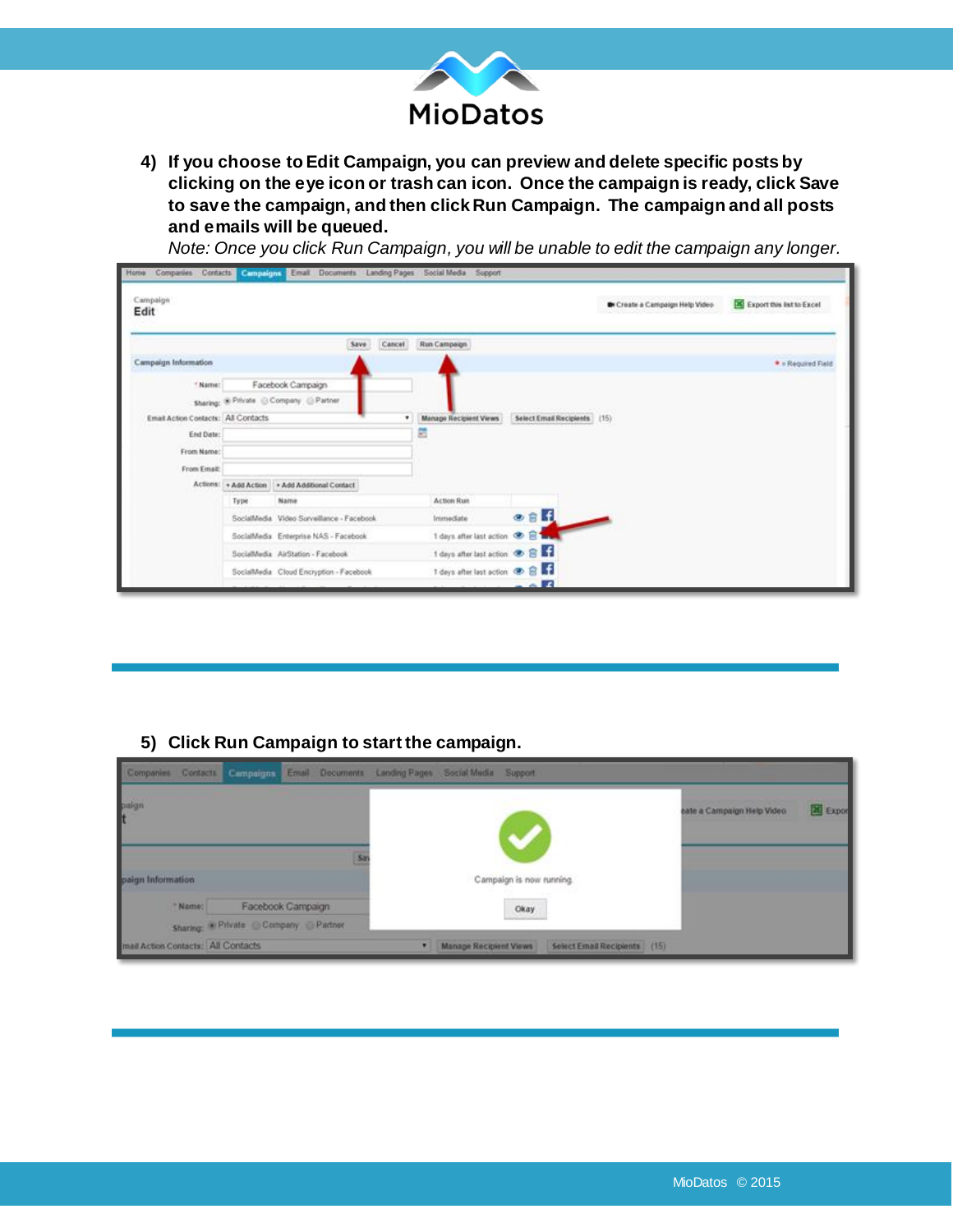

**4) If you choose to Edit Campaign, you can preview and delete specific posts by clicking on the eye icon or trash can icon. Once the campaign is ready, click Save to save the campaign, and then click Run Campaign. The campaign and all posts and emails will be queued.** 

*Note: Once you click Run Campaign, you will be unable to edit the campaign any longer.*

| Campaign<br>Edit                    |      |                                                |      |        |                                     |                              | <b>B</b> Create a Campaign Help Video | Export this list to Excel |
|-------------------------------------|------|------------------------------------------------|------|--------|-------------------------------------|------------------------------|---------------------------------------|---------------------------|
|                                     |      |                                                | Save | Cancel | Run Campaign                        |                              |                                       |                           |
| Campaign Information                |      |                                                |      |        |                                     |                              |                                       | * » Required Field        |
| ? Name:                             |      | Facebook Campaign                              |      |        |                                     |                              |                                       |                           |
|                                     |      | Sharing: ® Private @ Company @ Partner         |      |        |                                     |                              |                                       |                           |
| Email Action Contacts: All Contacts |      |                                                |      | ٠      | <b>Manage Recipient Views</b>       | Select Email Recipients (15) |                                       |                           |
| End Date:                           |      |                                                |      |        | 屈                                   |                              |                                       |                           |
| From Name:                          |      |                                                |      |        |                                     |                              |                                       |                           |
| From Email:                         |      |                                                |      |        |                                     |                              |                                       |                           |
|                                     |      | Actions: + Add Action + Add Additional Contact |      |        |                                     |                              |                                       |                           |
|                                     | Type | Name                                           |      |        | <b>Action Run</b>                   |                              |                                       |                           |
|                                     |      | SocialMedia Video Surveillance - Facebook      |      |        | Immediate                           | $0.6$ H                      |                                       |                           |
|                                     |      | SocialMedia Enterprise NAS - Facebook          |      |        | 1 days after last action @ B Tary   |                              |                                       |                           |
|                                     |      | SocialMedia AirStation - Facebook              |      |        | 1 days after last action <b>B</b> B |                              |                                       |                           |
|                                     |      | SocialMedia Cloud Encryption - Facebook        |      |        | 1 days after last action @ B        |                              |                                       |                           |
|                                     |      |                                                |      |        |                                     | $-17$                        |                                       |                           |

## **5) Click Run Campaign to start the campaign.**

| Companies Contacts Compaigns Email Documents Landing Pages Social Media Support |                                               |                   |  |                               |                          |                              |                            |          |
|---------------------------------------------------------------------------------|-----------------------------------------------|-------------------|--|-------------------------------|--------------------------|------------------------------|----------------------------|----------|
| paign<br>t                                                                      |                                               |                   |  |                               |                          |                              | eate a Campaign Help Video | X Export |
| paign Information                                                               |                                               |                   |  |                               | Campaign is now running. |                              |                            |          |
| *Name:                                                                          |                                               | Facebook Campaign |  |                               | Okay                     |                              |                            |          |
|                                                                                 | Sharing: <sup>@ Private Company Partner</sup> |                   |  |                               |                          |                              |                            |          |
| mail Action Contacts: All Contacts                                              |                                               |                   |  | <b>Manage Recipient Views</b> |                          | Select Email Recipients (15) |                            |          |